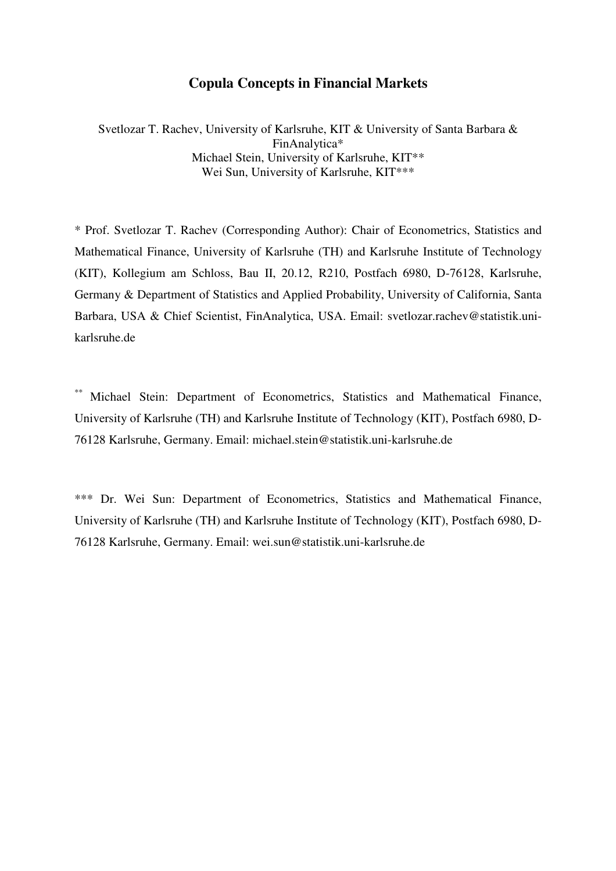## **Copula Concepts in Financial Markets**

Svetlozar T. Rachev, University of Karlsruhe, KIT & University of Santa Barbara & FinAnalytica\* Michael Stein, University of Karlsruhe, KIT\*\* Wei Sun, University of Karlsruhe, KIT\*\*\*

\* Prof. Svetlozar T. Rachev (Corresponding Author): Chair of Econometrics, Statistics and Mathematical Finance, University of Karlsruhe (TH) and Karlsruhe Institute of Technology (KIT), Kollegium am Schloss, Bau II, 20.12, R210, Postfach 6980, D-76128, Karlsruhe, Germany & Department of Statistics and Applied Probability, University of California, Santa Barbara, USA & Chief Scientist, FinAnalytica, USA. Email: svetlozar.rachev@statistik.unikarlsruhe.de

\*\* Michael Stein: Department of Econometrics, Statistics and Mathematical Finance, University of Karlsruhe (TH) and Karlsruhe Institute of Technology (KIT), Postfach 6980, D-76128 Karlsruhe, Germany. Email: michael.stein@statistik.uni-karlsruhe.de

\*\*\* Dr. Wei Sun: Department of Econometrics, Statistics and Mathematical Finance, University of Karlsruhe (TH) and Karlsruhe Institute of Technology (KIT), Postfach 6980, D-76128 Karlsruhe, Germany. Email: wei.sun@statistik.uni-karlsruhe.de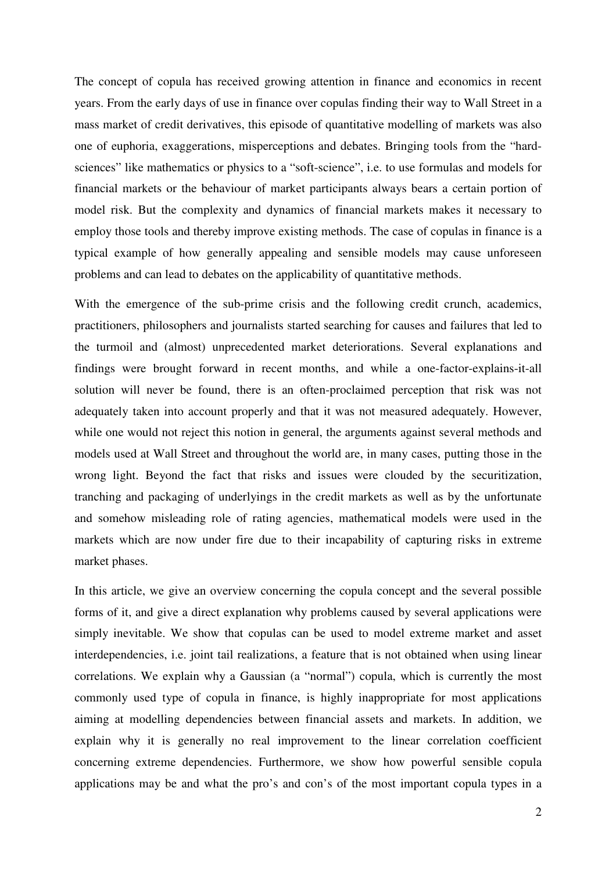The concept of copula has received growing attention in finance and economics in recent years. From the early days of use in finance over copulas finding their way to Wall Street in a mass market of credit derivatives, this episode of quantitative modelling of markets was also one of euphoria, exaggerations, misperceptions and debates. Bringing tools from the "hardsciences" like mathematics or physics to a "soft-science", i.e. to use formulas and models for financial markets or the behaviour of market participants always bears a certain portion of model risk. But the complexity and dynamics of financial markets makes it necessary to employ those tools and thereby improve existing methods. The case of copulas in finance is a typical example of how generally appealing and sensible models may cause unforeseen problems and can lead to debates on the applicability of quantitative methods.

With the emergence of the sub-prime crisis and the following credit crunch, academics, practitioners, philosophers and journalists started searching for causes and failures that led to the turmoil and (almost) unprecedented market deteriorations. Several explanations and findings were brought forward in recent months, and while a one-factor-explains-it-all solution will never be found, there is an often-proclaimed perception that risk was not adequately taken into account properly and that it was not measured adequately. However, while one would not reject this notion in general, the arguments against several methods and models used at Wall Street and throughout the world are, in many cases, putting those in the wrong light. Beyond the fact that risks and issues were clouded by the securitization, tranching and packaging of underlyings in the credit markets as well as by the unfortunate and somehow misleading role of rating agencies, mathematical models were used in the markets which are now under fire due to their incapability of capturing risks in extreme market phases.

In this article, we give an overview concerning the copula concept and the several possible forms of it, and give a direct explanation why problems caused by several applications were simply inevitable. We show that copulas can be used to model extreme market and asset interdependencies, i.e. joint tail realizations, a feature that is not obtained when using linear correlations. We explain why a Gaussian (a "normal") copula, which is currently the most commonly used type of copula in finance, is highly inappropriate for most applications aiming at modelling dependencies between financial assets and markets. In addition, we explain why it is generally no real improvement to the linear correlation coefficient concerning extreme dependencies. Furthermore, we show how powerful sensible copula applications may be and what the pro's and con's of the most important copula types in a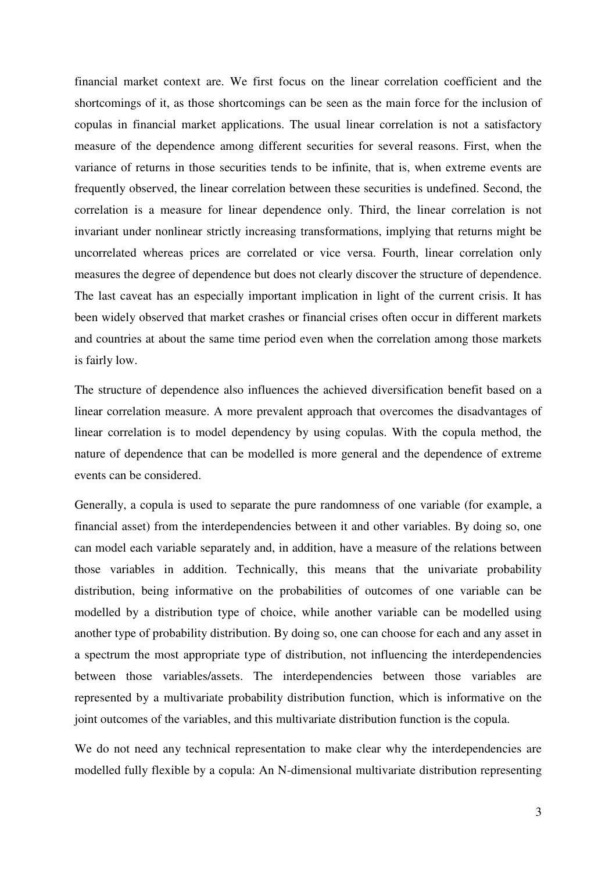financial market context are. We first focus on the linear correlation coefficient and the shortcomings of it, as those shortcomings can be seen as the main force for the inclusion of copulas in financial market applications. The usual linear correlation is not a satisfactory measure of the dependence among different securities for several reasons. First, when the variance of returns in those securities tends to be infinite, that is, when extreme events are frequently observed, the linear correlation between these securities is undefined. Second, the correlation is a measure for linear dependence only. Third, the linear correlation is not invariant under nonlinear strictly increasing transformations, implying that returns might be uncorrelated whereas prices are correlated or vice versa. Fourth, linear correlation only measures the degree of dependence but does not clearly discover the structure of dependence. The last caveat has an especially important implication in light of the current crisis. It has been widely observed that market crashes or financial crises often occur in different markets and countries at about the same time period even when the correlation among those markets is fairly low.

The structure of dependence also influences the achieved diversification benefit based on a linear correlation measure. A more prevalent approach that overcomes the disadvantages of linear correlation is to model dependency by using copulas. With the copula method, the nature of dependence that can be modelled is more general and the dependence of extreme events can be considered.

Generally, a copula is used to separate the pure randomness of one variable (for example, a financial asset) from the interdependencies between it and other variables. By doing so, one can model each variable separately and, in addition, have a measure of the relations between those variables in addition. Technically, this means that the univariate probability distribution, being informative on the probabilities of outcomes of one variable can be modelled by a distribution type of choice, while another variable can be modelled using another type of probability distribution. By doing so, one can choose for each and any asset in a spectrum the most appropriate type of distribution, not influencing the interdependencies between those variables/assets. The interdependencies between those variables are represented by a multivariate probability distribution function, which is informative on the joint outcomes of the variables, and this multivariate distribution function is the copula.

We do not need any technical representation to make clear why the interdependencies are modelled fully flexible by a copula: An N-dimensional multivariate distribution representing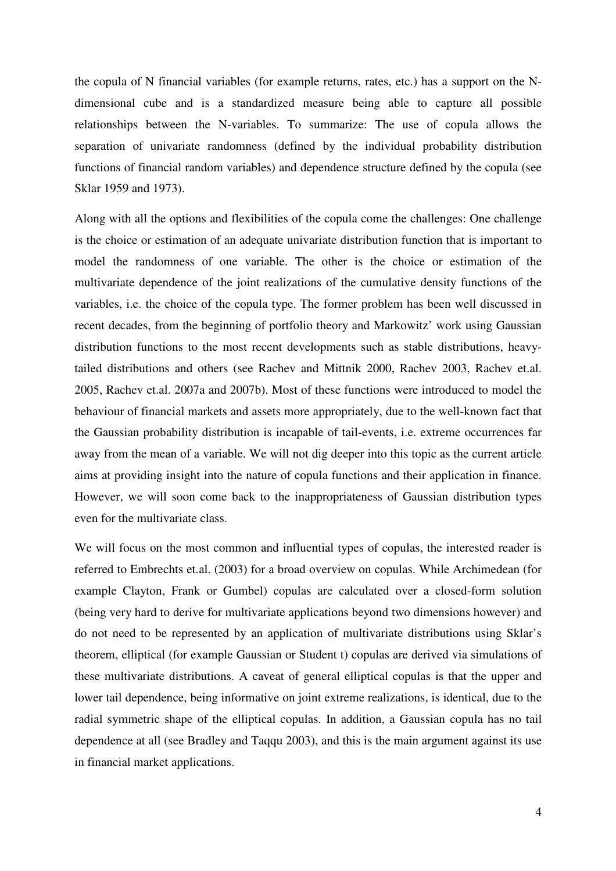the copula of N financial variables (for example returns, rates, etc.) has a support on the Ndimensional cube and is a standardized measure being able to capture all possible relationships between the N-variables. To summarize: The use of copula allows the separation of univariate randomness (defined by the individual probability distribution functions of financial random variables) and dependence structure defined by the copula (see Sklar 1959 and 1973).

Along with all the options and flexibilities of the copula come the challenges: One challenge is the choice or estimation of an adequate univariate distribution function that is important to model the randomness of one variable. The other is the choice or estimation of the multivariate dependence of the joint realizations of the cumulative density functions of the variables, i.e. the choice of the copula type. The former problem has been well discussed in recent decades, from the beginning of portfolio theory and Markowitz' work using Gaussian distribution functions to the most recent developments such as stable distributions, heavytailed distributions and others (see Rachev and Mittnik 2000, Rachev 2003, Rachev et.al. 2005, Rachev et.al. 2007a and 2007b). Most of these functions were introduced to model the behaviour of financial markets and assets more appropriately, due to the well-known fact that the Gaussian probability distribution is incapable of tail-events, i.e. extreme occurrences far away from the mean of a variable. We will not dig deeper into this topic as the current article aims at providing insight into the nature of copula functions and their application in finance. However, we will soon come back to the inappropriateness of Gaussian distribution types even for the multivariate class.

We will focus on the most common and influential types of copulas, the interested reader is referred to Embrechts et.al. (2003) for a broad overview on copulas. While Archimedean (for example Clayton, Frank or Gumbel) copulas are calculated over a closed-form solution (being very hard to derive for multivariate applications beyond two dimensions however) and do not need to be represented by an application of multivariate distributions using Sklar's theorem, elliptical (for example Gaussian or Student t) copulas are derived via simulations of these multivariate distributions. A caveat of general elliptical copulas is that the upper and lower tail dependence, being informative on joint extreme realizations, is identical, due to the radial symmetric shape of the elliptical copulas. In addition, a Gaussian copula has no tail dependence at all (see Bradley and Taqqu 2003), and this is the main argument against its use in financial market applications.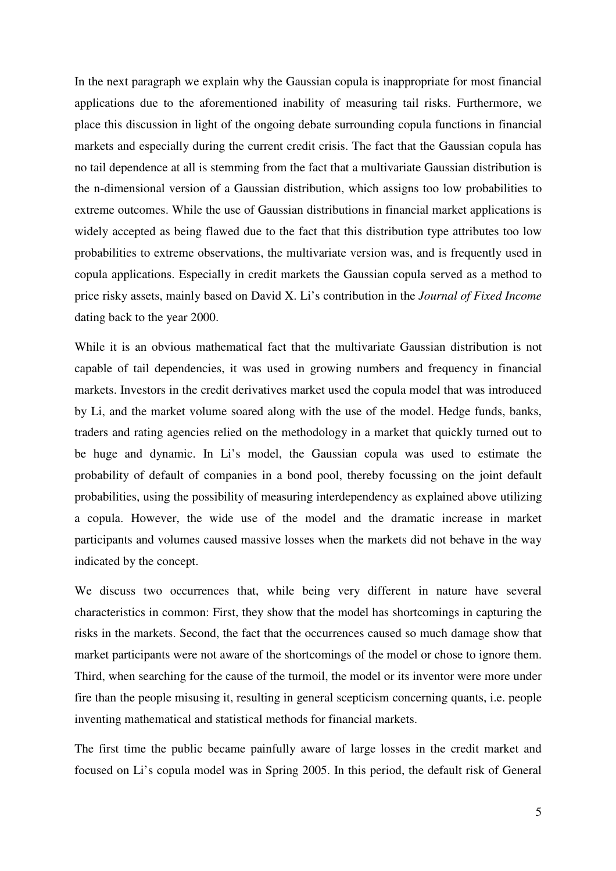In the next paragraph we explain why the Gaussian copula is inappropriate for most financial applications due to the aforementioned inability of measuring tail risks. Furthermore, we place this discussion in light of the ongoing debate surrounding copula functions in financial markets and especially during the current credit crisis. The fact that the Gaussian copula has no tail dependence at all is stemming from the fact that a multivariate Gaussian distribution is the n-dimensional version of a Gaussian distribution, which assigns too low probabilities to extreme outcomes. While the use of Gaussian distributions in financial market applications is widely accepted as being flawed due to the fact that this distribution type attributes too low probabilities to extreme observations, the multivariate version was, and is frequently used in copula applications. Especially in credit markets the Gaussian copula served as a method to price risky assets, mainly based on David X. Li's contribution in the *Journal of Fixed Income* dating back to the year 2000.

While it is an obvious mathematical fact that the multivariate Gaussian distribution is not capable of tail dependencies, it was used in growing numbers and frequency in financial markets. Investors in the credit derivatives market used the copula model that was introduced by Li, and the market volume soared along with the use of the model. Hedge funds, banks, traders and rating agencies relied on the methodology in a market that quickly turned out to be huge and dynamic. In Li's model, the Gaussian copula was used to estimate the probability of default of companies in a bond pool, thereby focussing on the joint default probabilities, using the possibility of measuring interdependency as explained above utilizing a copula. However, the wide use of the model and the dramatic increase in market participants and volumes caused massive losses when the markets did not behave in the way indicated by the concept.

We discuss two occurrences that, while being very different in nature have several characteristics in common: First, they show that the model has shortcomings in capturing the risks in the markets. Second, the fact that the occurrences caused so much damage show that market participants were not aware of the shortcomings of the model or chose to ignore them. Third, when searching for the cause of the turmoil, the model or its inventor were more under fire than the people misusing it, resulting in general scepticism concerning quants, i.e. people inventing mathematical and statistical methods for financial markets.

The first time the public became painfully aware of large losses in the credit market and focused on Li's copula model was in Spring 2005. In this period, the default risk of General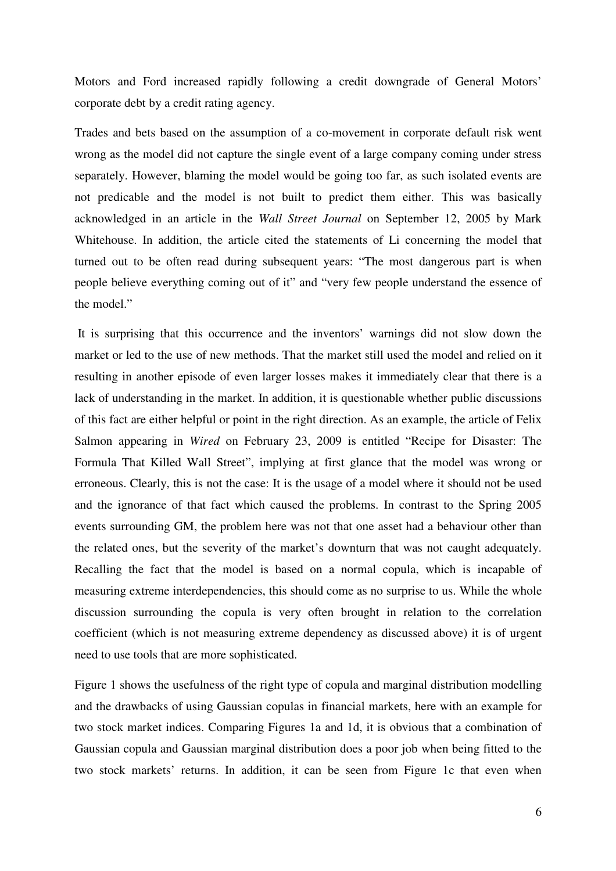Motors and Ford increased rapidly following a credit downgrade of General Motors' corporate debt by a credit rating agency.

Trades and bets based on the assumption of a co-movement in corporate default risk went wrong as the model did not capture the single event of a large company coming under stress separately. However, blaming the model would be going too far, as such isolated events are not predicable and the model is not built to predict them either. This was basically acknowledged in an article in the *Wall Street Journal* on September 12, 2005 by Mark Whitehouse. In addition, the article cited the statements of Li concerning the model that turned out to be often read during subsequent years: "The most dangerous part is when people believe everything coming out of it" and "very few people understand the essence of the model."

 It is surprising that this occurrence and the inventors' warnings did not slow down the market or led to the use of new methods. That the market still used the model and relied on it resulting in another episode of even larger losses makes it immediately clear that there is a lack of understanding in the market. In addition, it is questionable whether public discussions of this fact are either helpful or point in the right direction. As an example, the article of Felix Salmon appearing in *Wired* on February 23, 2009 is entitled "Recipe for Disaster: The Formula That Killed Wall Street", implying at first glance that the model was wrong or erroneous. Clearly, this is not the case: It is the usage of a model where it should not be used and the ignorance of that fact which caused the problems. In contrast to the Spring 2005 events surrounding GM, the problem here was not that one asset had a behaviour other than the related ones, but the severity of the market's downturn that was not caught adequately. Recalling the fact that the model is based on a normal copula, which is incapable of measuring extreme interdependencies, this should come as no surprise to us. While the whole discussion surrounding the copula is very often brought in relation to the correlation coefficient (which is not measuring extreme dependency as discussed above) it is of urgent need to use tools that are more sophisticated.

Figure 1 shows the usefulness of the right type of copula and marginal distribution modelling and the drawbacks of using Gaussian copulas in financial markets, here with an example for two stock market indices. Comparing Figures 1a and 1d, it is obvious that a combination of Gaussian copula and Gaussian marginal distribution does a poor job when being fitted to the two stock markets' returns. In addition, it can be seen from Figure 1c that even when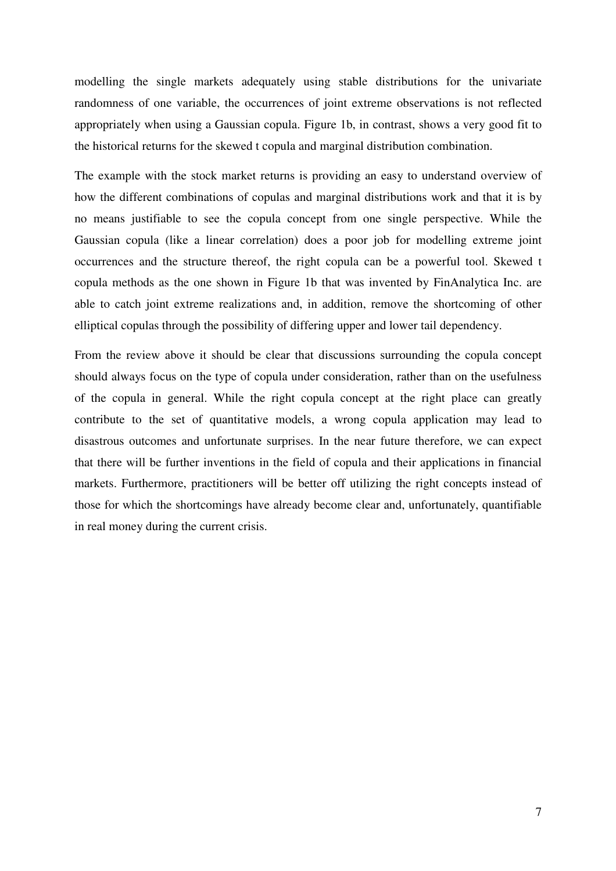modelling the single markets adequately using stable distributions for the univariate randomness of one variable, the occurrences of joint extreme observations is not reflected appropriately when using a Gaussian copula. Figure 1b, in contrast, shows a very good fit to the historical returns for the skewed t copula and marginal distribution combination.

The example with the stock market returns is providing an easy to understand overview of how the different combinations of copulas and marginal distributions work and that it is by no means justifiable to see the copula concept from one single perspective. While the Gaussian copula (like a linear correlation) does a poor job for modelling extreme joint occurrences and the structure thereof, the right copula can be a powerful tool. Skewed t copula methods as the one shown in Figure 1b that was invented by FinAnalytica Inc. are able to catch joint extreme realizations and, in addition, remove the shortcoming of other elliptical copulas through the possibility of differing upper and lower tail dependency.

From the review above it should be clear that discussions surrounding the copula concept should always focus on the type of copula under consideration, rather than on the usefulness of the copula in general. While the right copula concept at the right place can greatly contribute to the set of quantitative models, a wrong copula application may lead to disastrous outcomes and unfortunate surprises. In the near future therefore, we can expect that there will be further inventions in the field of copula and their applications in financial markets. Furthermore, practitioners will be better off utilizing the right concepts instead of those for which the shortcomings have already become clear and, unfortunately, quantifiable in real money during the current crisis.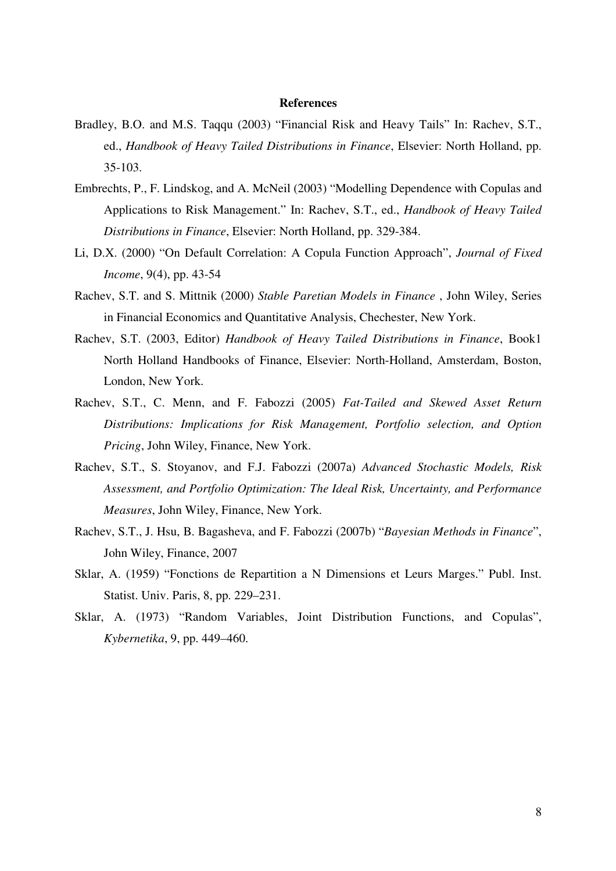## **References**

- Bradley, B.O. and M.S. Taqqu (2003) "Financial Risk and Heavy Tails" In: Rachev, S.T., ed., *Handbook of Heavy Tailed Distributions in Finance*, Elsevier: North Holland, pp. 35-103.
- Embrechts, P., F. Lindskog, and A. McNeil (2003) "Modelling Dependence with Copulas and Applications to Risk Management." In: Rachev, S.T., ed., *Handbook of Heavy Tailed Distributions in Finance*, Elsevier: North Holland, pp. 329-384.
- Li, D.X. (2000) "On Default Correlation: A Copula Function Approach", *Journal of Fixed Income*, 9(4), pp. 43-54
- Rachev, S.T. and S. Mittnik (2000) *Stable Paretian Models in Finance* , John Wiley, Series in Financial Economics and Quantitative Analysis, Chechester, New York.
- Rachev, S.T. (2003, Editor) *Handbook of Heavy Tailed Distributions in Finance*, Book1 North Holland Handbooks of Finance, Elsevier: North-Holland, Amsterdam, Boston, London, New York.
- Rachev, S.T., C. Menn, and F. Fabozzi (2005) *Fat-Tailed and Skewed Asset Return Distributions: Implications for Risk Management, Portfolio selection, and Option Pricing*, John Wiley, Finance, New York.
- Rachev, S.T., S. Stoyanov, and F.J. Fabozzi (2007a) *Advanced Stochastic Models, Risk Assessment, and Portfolio Optimization: The Ideal Risk, Uncertainty, and Performance Measures*, John Wiley, Finance, New York.
- Rachev, S.T., J. Hsu, B. Bagasheva, and F. Fabozzi (2007b) "*Bayesian Methods in Finance*", John Wiley, Finance, 2007
- Sklar, A. (1959) "Fonctions de Repartition a N Dimensions et Leurs Marges." Publ. Inst. Statist. Univ. Paris, 8, pp. 229–231.
- Sklar, A. (1973) "Random Variables, Joint Distribution Functions, and Copulas", *Kybernetika*, 9, pp. 449–460.